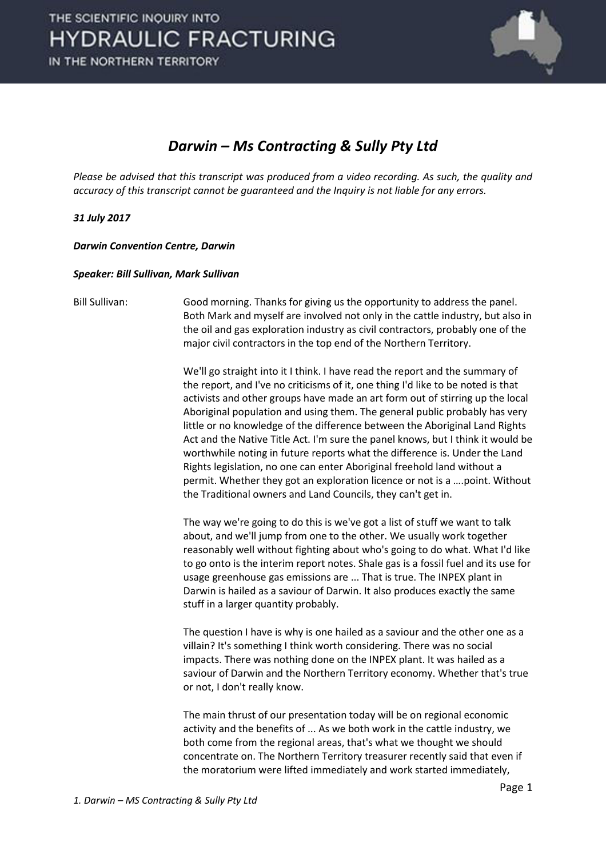

### *Darwin – Ms Contracting & Sully Pty Ltd*

*Please be advised that this transcript was produced from a video recording. As such, the quality and accuracy of this transcript cannot be guaranteed and the Inquiry is not liable for any errors.*

### *31 July 2017*

*Darwin Convention Centre, Darwin* 

### *Speaker: Bill Sullivan, Mark Sullivan*

Bill Sullivan: Good morning. Thanks for giving us the opportunity to address the panel. Both Mark and myself are involved not only in the cattle industry, but also in the oil and gas exploration industry as civil contractors, probably one of the major civil contractors in the top end of the Northern Territory.

> We'll go straight into it I think. I have read the report and the summary of the report, and I've no criticisms of it, one thing I'd like to be noted is that activists and other groups have made an art form out of stirring up the local Aboriginal population and using them. The general public probably has very little or no knowledge of the difference between the Aboriginal Land Rights Act and the Native Title Act. I'm sure the panel knows, but I think it would be worthwhile noting in future reports what the difference is. Under the Land Rights legislation, no one can enter Aboriginal freehold land without a permit. Whether they got an exploration licence or not is a ....point. Without the Traditional owners and Land Councils, they can't get in.

> The way we're going to do this is we've got a list of stuff we want to talk about, and we'll jump from one to the other. We usually work together reasonably well without fighting about who's going to do what. What I'd like to go onto is the interim report notes. Shale gas is a fossil fuel and its use for usage greenhouse gas emissions are ... That is true. The INPEX plant in Darwin is hailed as a saviour of Darwin. It also produces exactly the same stuff in a larger quantity probably.

> The question I have is why is one hailed as a saviour and the other one as a villain? It's something I think worth considering. There was no social impacts. There was nothing done on the INPEX plant. It was hailed as a saviour of Darwin and the Northern Territory economy. Whether that's true or not, I don't really know.

 The main thrust of our presentation today will be on regional economic activity and the benefits of ... As we both work in the cattle industry, we both come from the regional areas, that's what we thought we should concentrate on. The Northern Territory treasurer recently said that even if the moratorium were lifted immediately and work started immediately,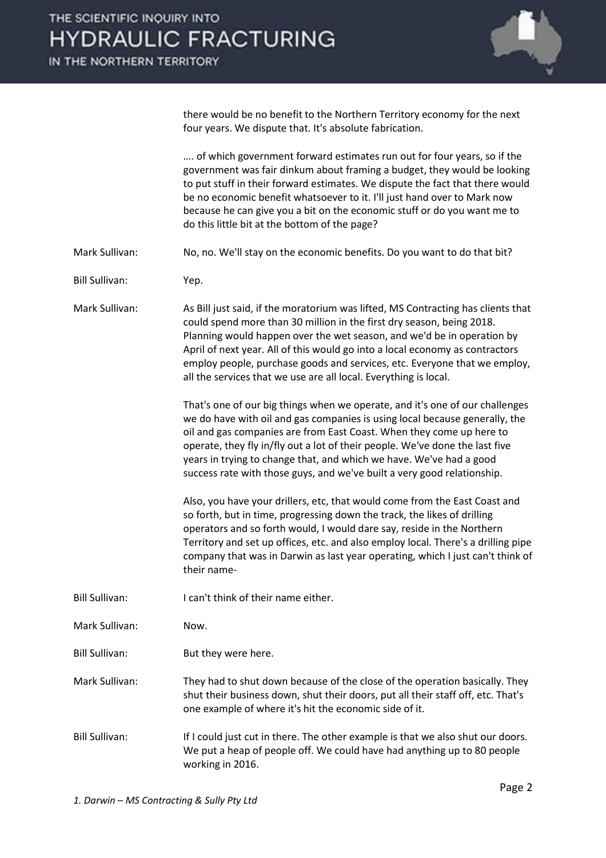

there would be no benefit to the Northern Territory economy for the next four years. We dispute that. It's absolute fabrication.

.... of which government forward estimates run out for four years, so if the government was fair dinkum about framing a budget, they would be looking to put stuff in their forward estimates. We dispute the fact that there would be no economic benefit whatsoever to it. I'll just hand over to Mark now because he can give you a bit on the economic stuff or do you want me to do this little bit at the bottom of the page?

Mark Sullivan: No, no. We'll stay on the economic benefits. Do you want to do that bit?

Bill Sullivan: Yep.

Mark Sullivan: As Bill just said, if the moratorium was lifted, MS Contracting has clients that could spend more than 30 million in the first dry season, being 2018. Planning would happen over the wet season, and we'd be in operation by April of next year. All of this would go into a local economy as contractors employ people, purchase goods and services, etc. Everyone that we employ, all the services that we use are all local. Everything is local.

> That's one of our big things when we operate, and it's one of our challenges we do have with oil and gas companies is using local because generally, the oil and gas companies are from East Coast. When they come up here to operate, they fly in/fly out a lot of their people. We've done the last five years in trying to change that, and which we have. We've had a good success rate with those guys, and we've built a very good relationship.

 Also, you have your drillers, etc, that would come from the East Coast and so forth, but in time, progressing down the track, the likes of drilling operators and so forth would, I would dare say, reside in the Northern Territory and set up offices, etc. and also employ local. There's a drilling pipe company that was in Darwin as last year operating, which I just can't think of their name-

Bill Sullivan: I can't think of their name either.

Mark Sullivan: Now.

Bill Sullivan: But they were here.

Mark Sullivan: They had to shut down because of the close of the operation basically. They shut their business down, shut their doors, put all their staff off, etc. That's one example of where it's hit the economic side of it.

Bill Sullivan: If I could just cut in there. The other example is that we also shut our doors. We put a heap of people off. We could have had anything up to 80 people working in 2016.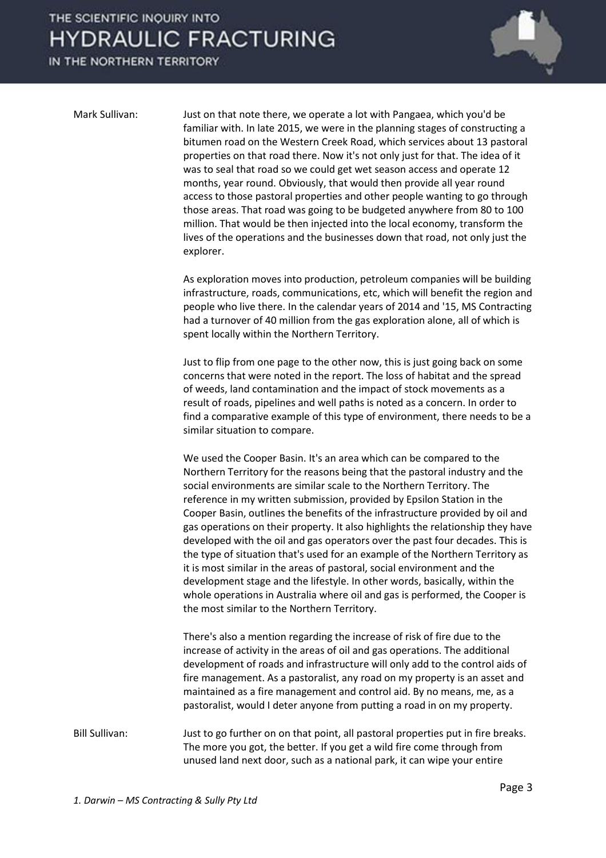IN THE NORTHERN TERRITORY



Mark Sullivan: Just on that note there, we operate a lot with Pangaea, which you'd be familiar with. In late 2015, we were in the planning stages of constructing a bitumen road on the Western Creek Road, which services about 13 pastoral properties on that road there. Now it's not only just for that. The idea of it was to seal that road so we could get wet season access and operate 12 months, year round. Obviously, that would then provide all year round access to those pastoral properties and other people wanting to go through those areas. That road was going to be budgeted anywhere from 80 to 100 million. That would be then injected into the local economy, transform the lives of the operations and the businesses down that road, not only just the explorer.

> As exploration moves into production, petroleum companies will be building infrastructure, roads, communications, etc, which will benefit the region and people who live there. In the calendar years of 2014 and '15, MS Contracting had a turnover of 40 million from the gas exploration alone, all of which is spent locally within the Northern Territory.

> Just to flip from one page to the other now, this is just going back on some concerns that were noted in the report. The loss of habitat and the spread of weeds, land contamination and the impact of stock movements as a result of roads, pipelines and well paths is noted as a concern. In order to find a comparative example of this type of environment, there needs to be a similar situation to compare.

> We used the Cooper Basin. It's an area which can be compared to the Northern Territory for the reasons being that the pastoral industry and the social environments are similar scale to the Northern Territory. The reference in my written submission, provided by Epsilon Station in the Cooper Basin, outlines the benefits of the infrastructure provided by oil and gas operations on their property. It also highlights the relationship they have developed with the oil and gas operators over the past four decades. This is the type of situation that's used for an example of the Northern Territory as it is most similar in the areas of pastoral, social environment and the development stage and the lifestyle. In other words, basically, within the whole operations in Australia where oil and gas is performed, the Cooper is the most similar to the Northern Territory.

 There's also a mention regarding the increase of risk of fire due to the increase of activity in the areas of oil and gas operations. The additional development of roads and infrastructure will only add to the control aids of fire management. As a pastoralist, any road on my property is an asset and maintained as a fire management and control aid. By no means, me, as a pastoralist, would I deter anyone from putting a road in on my property.

Bill Sullivan: Just to go further on on that point, all pastoral properties put in fire breaks. The more you got, the better. If you get a wild fire come through from unused land next door, such as a national park, it can wipe your entire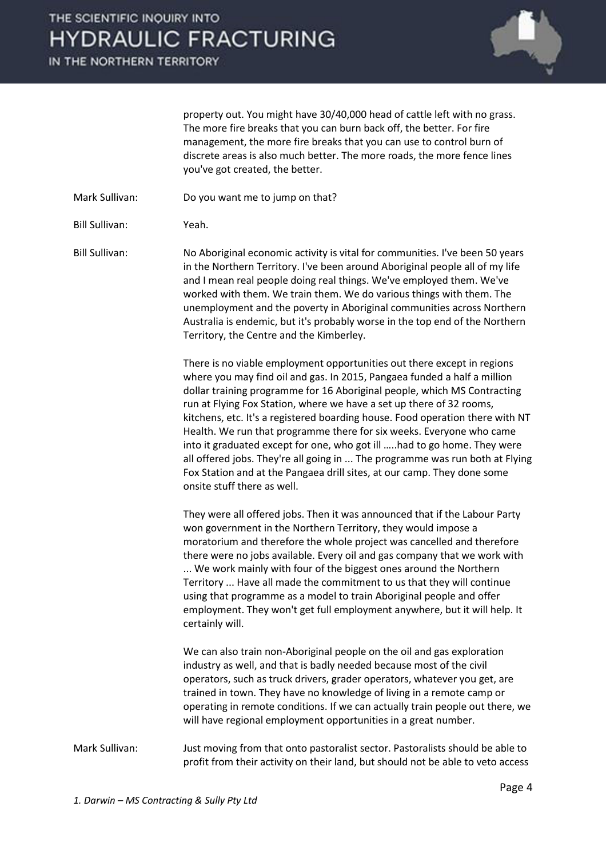IN THE NORTHERN TERRITORY



property out. You might have 30/40,000 head of cattle left with no grass. The more fire breaks that you can burn back off, the better. For fire management, the more fire breaks that you can use to control burn of discrete areas is also much better. The more roads, the more fence lines you've got created, the better.

Mark Sullivan: Do you want me to jump on that?

Bill Sullivan: Yeah.

Bill Sullivan: No Aboriginal economic activity is vital for communities. I've been 50 years in the Northern Territory. I've been around Aboriginal people all of my life and I mean real people doing real things. We've employed them. We've worked with them. We train them. We do various things with them. The unemployment and the poverty in Aboriginal communities across Northern Australia is endemic, but it's probably worse in the top end of the Northern Territory, the Centre and the Kimberley.

> There is no viable employment opportunities out there except in regions where you may find oil and gas. In 2015, Pangaea funded a half a million dollar training programme for 16 Aboriginal people, which MS Contracting run at Flying Fox Station, where we have a set up there of 32 rooms, kitchens, etc. It's a registered boarding house. Food operation there with NT Health. We run that programme there for six weeks. Everyone who came into it graduated except for one, who got ill …..had to go home. They were all offered jobs. They're all going in ... The programme was run both at Flying Fox Station and at the Pangaea drill sites, at our camp. They done some onsite stuff there as well.

 They were all offered jobs. Then it was announced that if the Labour Party won government in the Northern Territory, they would impose a moratorium and therefore the whole project was cancelled and therefore there were no jobs available. Every oil and gas company that we work with ... We work mainly with four of the biggest ones around the Northern Territory ... Have all made the commitment to us that they will continue using that programme as a model to train Aboriginal people and offer employment. They won't get full employment anywhere, but it will help. It certainly will.

 We can also train non-Aboriginal people on the oil and gas exploration industry as well, and that is badly needed because most of the civil operators, such as truck drivers, grader operators, whatever you get, are trained in town. They have no knowledge of living in a remote camp or operating in remote conditions. If we can actually train people out there, we will have regional employment opportunities in a great number.

Mark Sullivan: Just moving from that onto pastoralist sector. Pastoralists should be able to profit from their activity on their land, but should not be able to veto access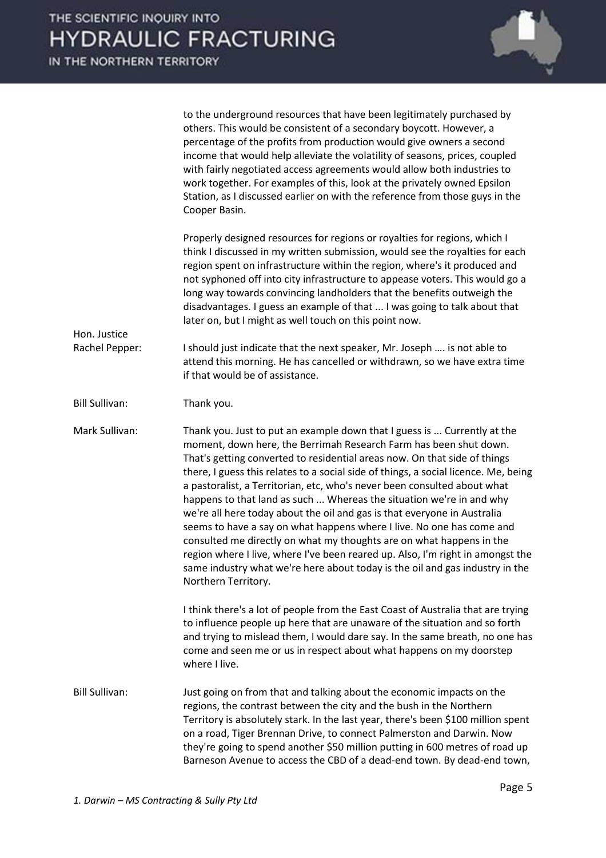|                       | to the underground resources that have been legitimately purchased by<br>others. This would be consistent of a secondary boycott. However, a<br>percentage of the profits from production would give owners a second<br>income that would help alleviate the volatility of seasons, prices, coupled<br>with fairly negotiated access agreements would allow both industries to<br>work together. For examples of this, look at the privately owned Epsilon<br>Station, as I discussed earlier on with the reference from those guys in the<br>Cooper Basin.                                                                                                                                                                                                                                                                                                                                 |
|-----------------------|---------------------------------------------------------------------------------------------------------------------------------------------------------------------------------------------------------------------------------------------------------------------------------------------------------------------------------------------------------------------------------------------------------------------------------------------------------------------------------------------------------------------------------------------------------------------------------------------------------------------------------------------------------------------------------------------------------------------------------------------------------------------------------------------------------------------------------------------------------------------------------------------|
| Hon. Justice          | Properly designed resources for regions or royalties for regions, which I<br>think I discussed in my written submission, would see the royalties for each<br>region spent on infrastructure within the region, where's it produced and<br>not syphoned off into city infrastructure to appease voters. This would go a<br>long way towards convincing landholders that the benefits outweigh the<br>disadvantages. I guess an example of that  I was going to talk about that<br>later on, but I might as well touch on this point now.                                                                                                                                                                                                                                                                                                                                                     |
| Rachel Pepper:        | I should just indicate that the next speaker, Mr. Joseph  is not able to<br>attend this morning. He has cancelled or withdrawn, so we have extra time<br>if that would be of assistance.                                                                                                                                                                                                                                                                                                                                                                                                                                                                                                                                                                                                                                                                                                    |
| <b>Bill Sullivan:</b> | Thank you.                                                                                                                                                                                                                                                                                                                                                                                                                                                                                                                                                                                                                                                                                                                                                                                                                                                                                  |
| Mark Sullivan:        | Thank you. Just to put an example down that I guess is  Currently at the<br>moment, down here, the Berrimah Research Farm has been shut down.<br>That's getting converted to residential areas now. On that side of things<br>there, I guess this relates to a social side of things, a social licence. Me, being<br>a pastoralist, a Territorian, etc, who's never been consulted about what<br>happens to that land as such  Whereas the situation we're in and why<br>we're all here today about the oil and gas is that everyone in Australia<br>seems to have a say on what happens where I live. No one has come and<br>consulted me directly on what my thoughts are on what happens in the<br>region where I live, where I've been reared up. Also, I'm right in amongst the<br>same industry what we're here about today is the oil and gas industry in the<br>Northern Territory. |
|                       | I think there's a lot of people from the East Coast of Australia that are trying<br>to influence people up here that are unaware of the situation and so forth<br>and trying to mislead them, I would dare say. In the same breath, no one has<br>come and seen me or us in respect about what happens on my doorstep<br>where I live.                                                                                                                                                                                                                                                                                                                                                                                                                                                                                                                                                      |
| <b>Bill Sullivan:</b> | Just going on from that and talking about the economic impacts on the<br>regions, the contrast between the city and the bush in the Northern<br>Territory is absolutely stark. In the last year, there's been \$100 million spent<br>on a road, Tiger Brennan Drive, to connect Palmerston and Darwin. Now<br>they're going to spend another \$50 million putting in 600 metres of road up<br>Barneson Avenue to access the CBD of a dead-end town. By dead-end town,                                                                                                                                                                                                                                                                                                                                                                                                                       |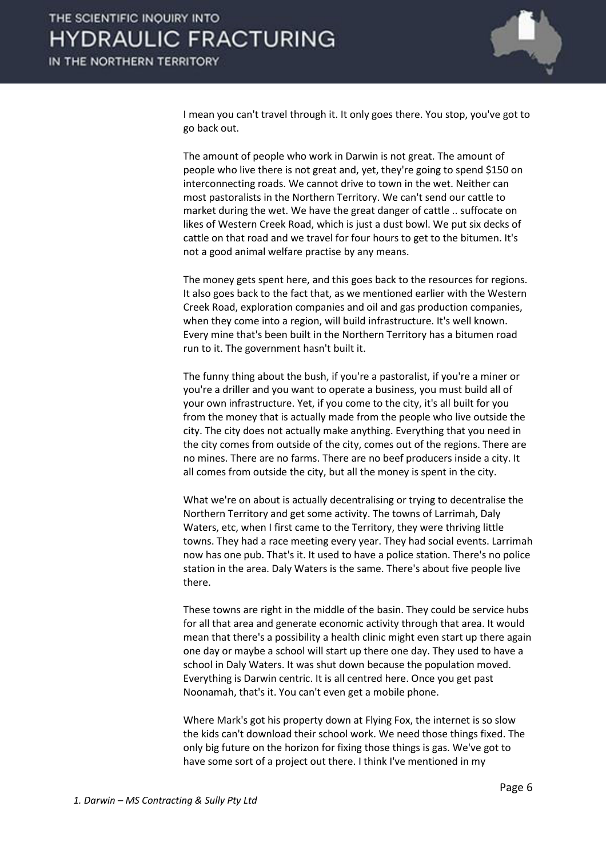

I mean you can't travel through it. It only goes there. You stop, you've got to go back out.

 The amount of people who work in Darwin is not great. The amount of people who live there is not great and, yet, they're going to spend \$150 on interconnecting roads. We cannot drive to town in the wet. Neither can most pastoralists in the Northern Territory. We can't send our cattle to market during the wet. We have the great danger of cattle .. suffocate on likes of Western Creek Road, which is just a dust bowl. We put six decks of cattle on that road and we travel for four hours to get to the bitumen. It's not a good animal welfare practise by any means.

 The money gets spent here, and this goes back to the resources for regions. It also goes back to the fact that, as we mentioned earlier with the Western Creek Road, exploration companies and oil and gas production companies, when they come into a region, will build infrastructure. It's well known. Every mine that's been built in the Northern Territory has a bitumen road run to it. The government hasn't built it.

 The funny thing about the bush, if you're a pastoralist, if you're a miner or you're a driller and you want to operate a business, you must build all of your own infrastructure. Yet, if you come to the city, it's all built for you from the money that is actually made from the people who live outside the city. The city does not actually make anything. Everything that you need in the city comes from outside of the city, comes out of the regions. There are no mines. There are no farms. There are no beef producers inside a city. It all comes from outside the city, but all the money is spent in the city.

 What we're on about is actually decentralising or trying to decentralise the Northern Territory and get some activity. The towns of Larrimah, Daly Waters, etc, when I first came to the Territory, they were thriving little towns. They had a race meeting every year. They had social events. Larrimah now has one pub. That's it. It used to have a police station. There's no police station in the area. Daly Waters is the same. There's about five people live there.

 These towns are right in the middle of the basin. They could be service hubs for all that area and generate economic activity through that area. It would mean that there's a possibility a health clinic might even start up there again one day or maybe a school will start up there one day. They used to have a school in Daly Waters. It was shut down because the population moved. Everything is Darwin centric. It is all centred here. Once you get past Noonamah, that's it. You can't even get a mobile phone.

 Where Mark's got his property down at Flying Fox, the internet is so slow the kids can't download their school work. We need those things fixed. The only big future on the horizon for fixing those things is gas. We've got to have some sort of a project out there. I think I've mentioned in my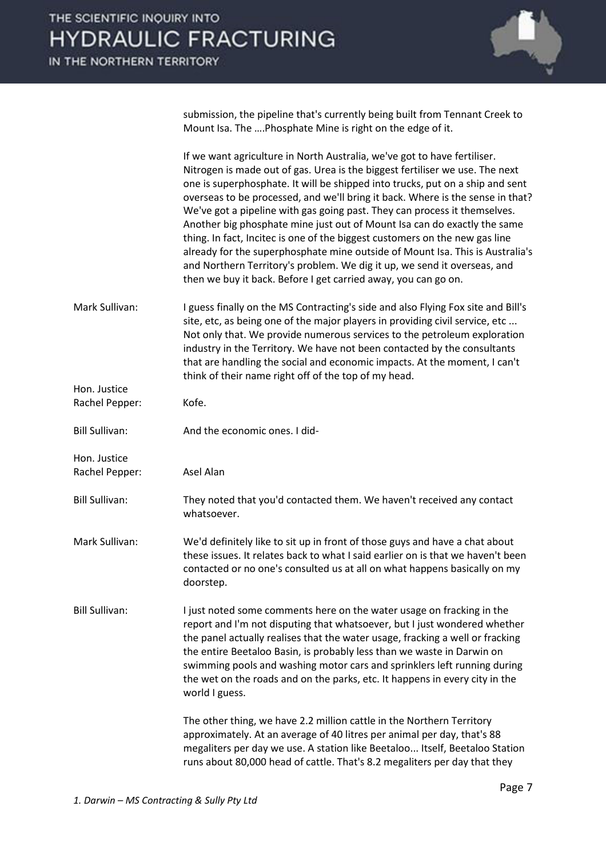

submission, the pipeline that's currently being built from Tennant Creek to Mount Isa. The .... Phosphate Mine is right on the edge of it.

|                       | If we want agriculture in North Australia, we've got to have fertiliser.<br>Nitrogen is made out of gas. Urea is the biggest fertiliser we use. The next<br>one is superphosphate. It will be shipped into trucks, put on a ship and sent<br>overseas to be processed, and we'll bring it back. Where is the sense in that?<br>We've got a pipeline with gas going past. They can process it themselves.<br>Another big phosphate mine just out of Mount Isa can do exactly the same<br>thing. In fact, Incitec is one of the biggest customers on the new gas line<br>already for the superphosphate mine outside of Mount Isa. This is Australia's<br>and Northern Territory's problem. We dig it up, we send it overseas, and<br>then we buy it back. Before I get carried away, you can go on. |
|-----------------------|----------------------------------------------------------------------------------------------------------------------------------------------------------------------------------------------------------------------------------------------------------------------------------------------------------------------------------------------------------------------------------------------------------------------------------------------------------------------------------------------------------------------------------------------------------------------------------------------------------------------------------------------------------------------------------------------------------------------------------------------------------------------------------------------------|
| Mark Sullivan:        | I guess finally on the MS Contracting's side and also Flying Fox site and Bill's<br>site, etc, as being one of the major players in providing civil service, etc<br>Not only that. We provide numerous services to the petroleum exploration<br>industry in the Territory. We have not been contacted by the consultants<br>that are handling the social and economic impacts. At the moment, I can't<br>think of their name right off of the top of my head.                                                                                                                                                                                                                                                                                                                                      |
| Hon. Justice          |                                                                                                                                                                                                                                                                                                                                                                                                                                                                                                                                                                                                                                                                                                                                                                                                    |
| Rachel Pepper:        | Kofe.                                                                                                                                                                                                                                                                                                                                                                                                                                                                                                                                                                                                                                                                                                                                                                                              |
| <b>Bill Sullivan:</b> | And the economic ones. I did-                                                                                                                                                                                                                                                                                                                                                                                                                                                                                                                                                                                                                                                                                                                                                                      |
| Hon. Justice          |                                                                                                                                                                                                                                                                                                                                                                                                                                                                                                                                                                                                                                                                                                                                                                                                    |
| Rachel Pepper:        | Asel Alan                                                                                                                                                                                                                                                                                                                                                                                                                                                                                                                                                                                                                                                                                                                                                                                          |
| <b>Bill Sullivan:</b> | They noted that you'd contacted them. We haven't received any contact<br>whatsoever.                                                                                                                                                                                                                                                                                                                                                                                                                                                                                                                                                                                                                                                                                                               |
| Mark Sullivan:        | We'd definitely like to sit up in front of those guys and have a chat about<br>these issues. It relates back to what I said earlier on is that we haven't been<br>contacted or no one's consulted us at all on what happens basically on my<br>doorstep.                                                                                                                                                                                                                                                                                                                                                                                                                                                                                                                                           |
| <b>Bill Sullivan:</b> | I just noted some comments here on the water usage on fracking in the<br>report and I'm not disputing that whatsoever, but I just wondered whether<br>the panel actually realises that the water usage, fracking a well or fracking<br>the entire Beetaloo Basin, is probably less than we waste in Darwin on<br>swimming pools and washing motor cars and sprinklers left running during<br>the wet on the roads and on the parks, etc. It happens in every city in the<br>world I guess.                                                                                                                                                                                                                                                                                                         |
|                       | The other thing, we have 2.2 million cattle in the Northern Territory<br>approximately. At an average of 40 litres per animal per day, that's 88<br>megaliters per day we use. A station like Beetaloo Itself, Beetaloo Station<br>runs about 80,000 head of cattle. That's 8.2 megaliters per day that they                                                                                                                                                                                                                                                                                                                                                                                                                                                                                       |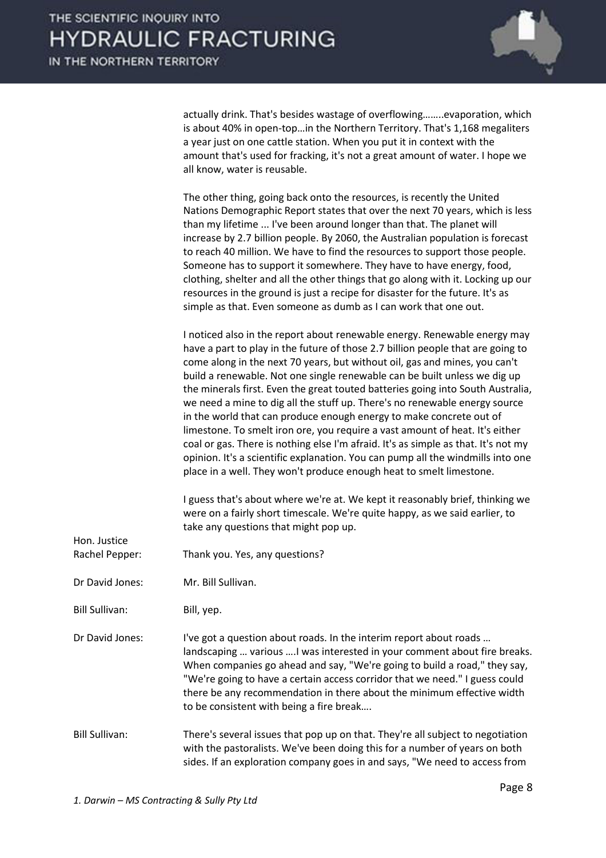

actually drink. That's besides wastage of overflowing........evaporation, which is about 40% in open-top...in the Northern Territory. That's 1,168 megaliters a year just on one cattle station. When you put it in context with the amount that's used for fracking, it's not a great amount of water. I hope we all know, water is reusable.

| The other thing, going back onto the resources, is recently the United           |
|----------------------------------------------------------------------------------|
| Nations Demographic Report states that over the next 70 years, which is less     |
| than my lifetime  I've been around longer than that. The planet will             |
| increase by 2.7 billion people. By 2060, the Australian population is forecast   |
| to reach 40 million. We have to find the resources to support those people.      |
| Someone has to support it somewhere. They have to have energy, food,             |
| clothing, shelter and all the other things that go along with it. Locking up our |
| resources in the ground is just a recipe for disaster for the future. It's as    |
| simple as that. Even someone as dumb as I can work that one out.                 |

 I noticed also in the report about renewable energy. Renewable energy may have a part to play in the future of those 2.7 billion people that are going to come along in the next 70 years, but without oil, gas and mines, you can't build a renewable. Not one single renewable can be built unless we dig up the minerals first. Even the great touted batteries going into South Australia, we need a mine to dig all the stuff up. There's no renewable energy source in the world that can produce enough energy to make concrete out of limestone. To smelt iron ore, you require a vast amount of heat. It's either coal or gas. There is nothing else I'm afraid. It's as simple as that. It's not my opinion. It's a scientific explanation. You can pump all the windmills into one place in a well. They won't produce enough heat to smelt limestone.

 I guess that's about where we're at. We kept it reasonably brief, thinking we were on a fairly short timescale. We're quite happy, as we said earlier, to take any questions that might pop up.

Rachel Pepper: Thank you. Yes, any questions?

Dr David Jones: Mr. Bill Sullivan.

Bill Sullivan: Bill, yep.

Hon. Justice

Dr David Jones: I've got a question about roads. In the interim report about roads ... landscaping ... various .... I was interested in your comment about fire breaks. When companies go ahead and say, "We're going to build a road," they say, "We're going to have a certain access corridor that we need." I guess could there be any recommendation in there about the minimum effective width to be consistent with being a fire break....

Bill Sullivan: There's several issues that pop up on that. They're all subject to negotiation with the pastoralists. We've been doing this for a number of years on both sides. If an exploration company goes in and says, "We need to access from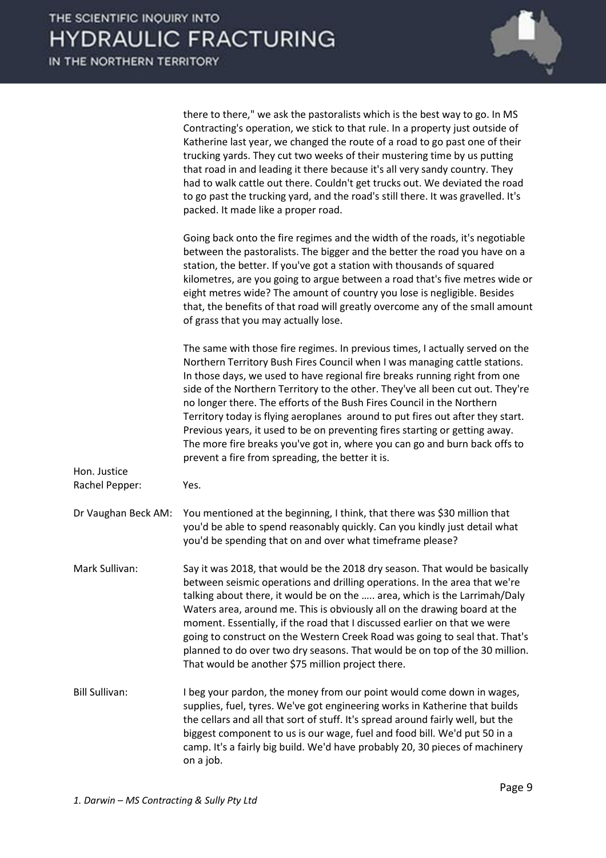

|                                | there to there," we ask the pastoralists which is the best way to go. In MS<br>Contracting's operation, we stick to that rule. In a property just outside of<br>Katherine last year, we changed the route of a road to go past one of their<br>trucking yards. They cut two weeks of their mustering time by us putting<br>that road in and leading it there because it's all very sandy country. They<br>had to walk cattle out there. Couldn't get trucks out. We deviated the road<br>to go past the trucking yard, and the road's still there. It was gravelled. It's<br>packed. It made like a proper road.                                                                                         |
|--------------------------------|----------------------------------------------------------------------------------------------------------------------------------------------------------------------------------------------------------------------------------------------------------------------------------------------------------------------------------------------------------------------------------------------------------------------------------------------------------------------------------------------------------------------------------------------------------------------------------------------------------------------------------------------------------------------------------------------------------|
|                                | Going back onto the fire regimes and the width of the roads, it's negotiable<br>between the pastoralists. The bigger and the better the road you have on a<br>station, the better. If you've got a station with thousands of squared<br>kilometres, are you going to argue between a road that's five metres wide or<br>eight metres wide? The amount of country you lose is negligible. Besides<br>that, the benefits of that road will greatly overcome any of the small amount<br>of grass that you may actually lose.                                                                                                                                                                                |
|                                | The same with those fire regimes. In previous times, I actually served on the<br>Northern Territory Bush Fires Council when I was managing cattle stations.<br>In those days, we used to have regional fire breaks running right from one<br>side of the Northern Territory to the other. They've all been cut out. They're<br>no longer there. The efforts of the Bush Fires Council in the Northern<br>Territory today is flying aeroplanes around to put fires out after they start.<br>Previous years, it used to be on preventing fires starting or getting away.<br>The more fire breaks you've got in, where you can go and burn back offs to<br>prevent a fire from spreading, the better it is. |
| Hon. Justice<br>Rachel Pepper: | Yes.                                                                                                                                                                                                                                                                                                                                                                                                                                                                                                                                                                                                                                                                                                     |
| Dr Vaughan Beck AM:            | You mentioned at the beginning, I think, that there was \$30 million that<br>you'd be able to spend reasonably quickly. Can you kindly just detail what<br>you'd be spending that on and over what timeframe please?                                                                                                                                                                                                                                                                                                                                                                                                                                                                                     |
| Mark Sullivan:                 | Say it was 2018, that would be the 2018 dry season. That would be basically<br>between seismic operations and drilling operations. In the area that we're<br>talking about there, it would be on the  area, which is the Larrimah/Daly<br>Waters area, around me. This is obviously all on the drawing board at the<br>moment. Essentially, if the road that I discussed earlier on that we were<br>going to construct on the Western Creek Road was going to seal that. That's<br>planned to do over two dry seasons. That would be on top of the 30 million.<br>That would be another \$75 million project there.                                                                                      |
| <b>Bill Sullivan:</b>          | I beg your pardon, the money from our point would come down in wages,<br>supplies, fuel, tyres. We've got engineering works in Katherine that builds<br>the cellars and all that sort of stuff. It's spread around fairly well, but the<br>biggest component to us is our wage, fuel and food bill. We'd put 50 in a<br>camp. It's a fairly big build. We'd have probably 20, 30 pieces of machinery<br>on a job.                                                                                                                                                                                                                                                                                        |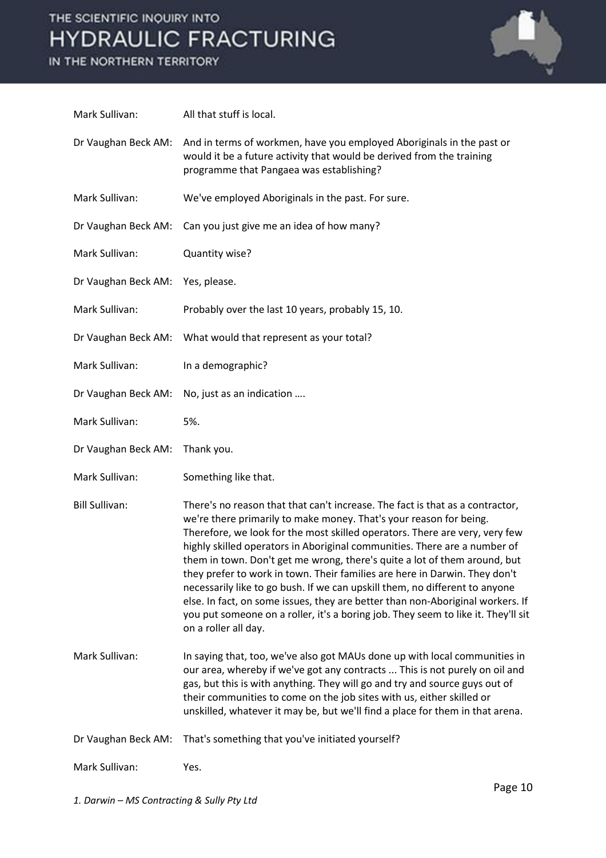IN THE NORTHERN TERRITORY



| Mark Sullivan:        | All that stuff is local.                                                                                                                                                                                                                                                                                                                                                                                                                                                                                                                                                                                                                                                                                                                                 |
|-----------------------|----------------------------------------------------------------------------------------------------------------------------------------------------------------------------------------------------------------------------------------------------------------------------------------------------------------------------------------------------------------------------------------------------------------------------------------------------------------------------------------------------------------------------------------------------------------------------------------------------------------------------------------------------------------------------------------------------------------------------------------------------------|
| Dr Vaughan Beck AM:   | And in terms of workmen, have you employed Aboriginals in the past or<br>would it be a future activity that would be derived from the training<br>programme that Pangaea was establishing?                                                                                                                                                                                                                                                                                                                                                                                                                                                                                                                                                               |
| Mark Sullivan:        | We've employed Aboriginals in the past. For sure.                                                                                                                                                                                                                                                                                                                                                                                                                                                                                                                                                                                                                                                                                                        |
| Dr Vaughan Beck AM:   | Can you just give me an idea of how many?                                                                                                                                                                                                                                                                                                                                                                                                                                                                                                                                                                                                                                                                                                                |
| Mark Sullivan:        | Quantity wise?                                                                                                                                                                                                                                                                                                                                                                                                                                                                                                                                                                                                                                                                                                                                           |
| Dr Vaughan Beck AM:   | Yes, please.                                                                                                                                                                                                                                                                                                                                                                                                                                                                                                                                                                                                                                                                                                                                             |
| Mark Sullivan:        | Probably over the last 10 years, probably 15, 10.                                                                                                                                                                                                                                                                                                                                                                                                                                                                                                                                                                                                                                                                                                        |
| Dr Vaughan Beck AM:   | What would that represent as your total?                                                                                                                                                                                                                                                                                                                                                                                                                                                                                                                                                                                                                                                                                                                 |
| Mark Sullivan:        | In a demographic?                                                                                                                                                                                                                                                                                                                                                                                                                                                                                                                                                                                                                                                                                                                                        |
| Dr Vaughan Beck AM:   | No, just as an indication                                                                                                                                                                                                                                                                                                                                                                                                                                                                                                                                                                                                                                                                                                                                |
| Mark Sullivan:        | 5%.                                                                                                                                                                                                                                                                                                                                                                                                                                                                                                                                                                                                                                                                                                                                                      |
| Dr Vaughan Beck AM:   | Thank you.                                                                                                                                                                                                                                                                                                                                                                                                                                                                                                                                                                                                                                                                                                                                               |
| Mark Sullivan:        | Something like that.                                                                                                                                                                                                                                                                                                                                                                                                                                                                                                                                                                                                                                                                                                                                     |
| <b>Bill Sullivan:</b> | There's no reason that that can't increase. The fact is that as a contractor,<br>we're there primarily to make money. That's your reason for being.<br>Therefore, we look for the most skilled operators. There are very, very few<br>highly skilled operators in Aboriginal communities. There are a number of<br>them in town. Don't get me wrong, there's quite a lot of them around, but<br>they prefer to work in town. Their families are here in Darwin. They don't<br>necessarily like to go bush. If we can upskill them, no different to anyone<br>else. In fact, on some issues, they are better than non-Aboriginal workers. If<br>you put someone on a roller, it's a boring job. They seem to like it. They'll sit<br>on a roller all day. |
| Mark Sullivan:        | In saying that, too, we've also got MAUs done up with local communities in<br>our area, whereby if we've got any contracts  This is not purely on oil and<br>gas, but this is with anything. They will go and try and source guys out of<br>their communities to come on the job sites with us, either skilled or<br>unskilled, whatever it may be, but we'll find a place for them in that arena.                                                                                                                                                                                                                                                                                                                                                       |
| Dr Vaughan Beck AM:   | That's something that you've initiated yourself?                                                                                                                                                                                                                                                                                                                                                                                                                                                                                                                                                                                                                                                                                                         |
| Mark Sullivan:        | Yes.                                                                                                                                                                                                                                                                                                                                                                                                                                                                                                                                                                                                                                                                                                                                                     |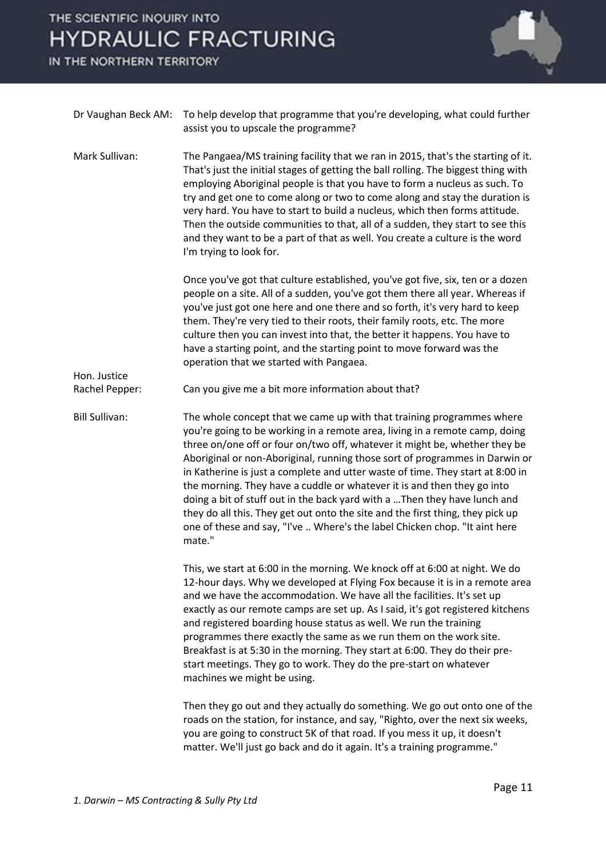IN THE NORTHERN TERRITORY

Hon. Justice



| Dr Vaughan Beck AM: To help develop that programme that you're developing, what could further |
|-----------------------------------------------------------------------------------------------|
| assist you to upscale the programme?                                                          |

Mark Sullivan: The Pangaea/MS training facility that we ran in 2015, that's the starting of it. That's just the initial stages of getting the ball rolling. The biggest thing with employing Aboriginal people is that you have to form a nucleus as such. To try and get one to come along or two to come along and stay the duration is very hard. You have to start to build a nucleus, which then forms attitude. Then the outside communities to that, all of a sudden, they start to see this and they want to be a part of that as well. You create a culture is the word I'm trying to look for.

> Once you've got that culture established, you've got five, six, ten or a dozen people on a site. All of a sudden, you've got them there all year. Whereas if you've just got one here and one there and so forth, it's very hard to keep them. They're very tied to their roots, their family roots, etc. The more culture then you can invest into that, the better it happens. You have to have a starting point, and the starting point to move forward was the operation that we started with Pangaea.

Rachel Pepper: Can you give me a bit more information about that?

Bill Sullivan: The whole concept that we came up with that training programmes where you're going to be working in a remote area, living in a remote camp, doing three on/one off or four on/two off, whatever it might be, whether they be Aboriginal or non-Aboriginal, running those sort of programmes in Darwin or in Katherine is just a complete and utter waste of time. They start at 8:00 in the morning. They have a cuddle or whatever it is and then they go into doing a bit of stuff out in the back yard with a ... Then they have lunch and they do all this. They get out onto the site and the first thing, they pick up one of these and say, "I've .. Where's the label Chicken chop. "It aint here mate."

> This, we start at 6:00 in the morning. We knock off at 6:00 at night. We do 12-hour days. Why we developed at Flying Fox because it is in a remote area and we have the accommodation. We have all the facilities. It's set up exactly as our remote camps are set up. As I said, it's got registered kitchens and registered boarding house status as well. We run the training programmes there exactly the same as we run them on the work site. Breakfast is at 5:30 in the morning. They start at 6:00. They do their prestart meetings. They go to work. They do the pre-start on whatever machines we might be using.

> Then they go out and they actually do something. We go out onto one of the roads on the station, for instance, and say, "Righto, over the next six weeks, you are going to construct 5K of that road. If you mess it up, it doesn't matter. We'll just go back and do it again. It's a training programme."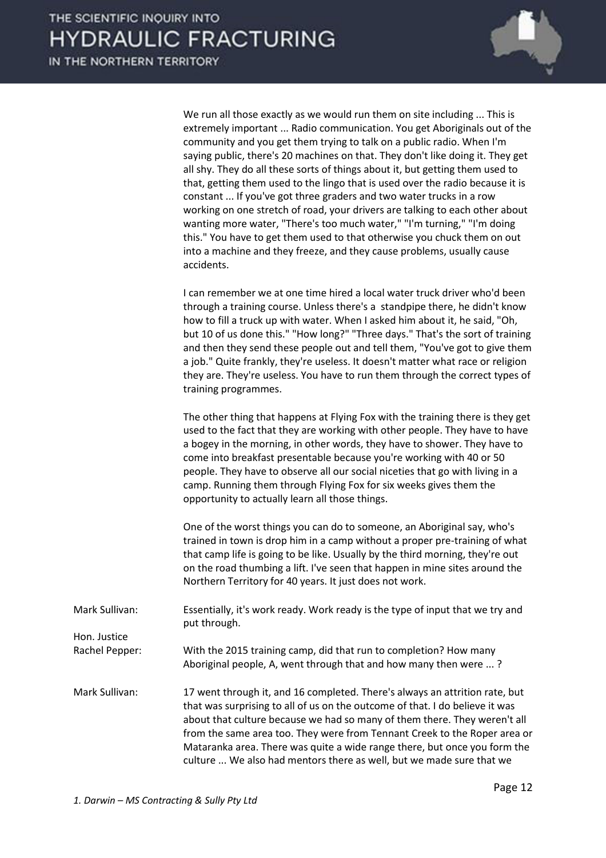

 We run all those exactly as we would run them on site including ... This is extremely important ... Radio communication. You get Aboriginals out of the community and you get them trying to talk on a public radio. When I'm saying public, there's 20 machines on that. They don't like doing it. They get all shy. They do all these sorts of things about it, but getting them used to that, getting them used to the lingo that is used over the radio because it is constant ... If you've got three graders and two water trucks in a row working on one stretch of road, your drivers are talking to each other about wanting more water, "There's too much water," "I'm turning," "I'm doing this." You have to get them used to that otherwise you chuck them on out into a machine and they freeze, and they cause problems, usually cause accidents.

 I can remember we at one time hired a local water truck driver who'd been through a training course. Unless there's a standpipe there, he didn't know how to fill a truck up with water. When I asked him about it, he said, "Oh, but 10 of us done this." "How long?" "Three days." That's the sort of training and then they send these people out and tell them, "You've got to give them a job." Quite frankly, they're useless. It doesn't matter what race or religion they are. They're useless. You have to run them through the correct types of training programmes.

 The other thing that happens at Flying Fox with the training there is they get used to the fact that they are working with other people. They have to have a bogey in the morning, in other words, they have to shower. They have to come into breakfast presentable because you're working with 40 or 50 people. They have to observe all our social niceties that go with living in a camp. Running them through Flying Fox for six weeks gives them the opportunity to actually learn all those things.

 One of the worst things you can do to someone, an Aboriginal say, who's trained in town is drop him in a camp without a proper pre-training of what that camp life is going to be like. Usually by the third morning, they're out on the road thumbing a lift. I've seen that happen in mine sites around the Northern Territory for 40 years. It just does not work.

Mark Sullivan: Essentially, it's work ready. Work ready is the type of input that we try and put through. Hon. Justice Rachel Pepper: With the 2015 training camp, did that run to completion? How many

Aboriginal people, A, went through that and how many then were ... ?

Mark Sullivan: 17 went through it, and 16 completed. There's always an attrition rate, but that was surprising to all of us on the outcome of that. I do believe it was about that culture because we had so many of them there. They weren't all from the same area too. They were from Tennant Creek to the Roper area or Mataranka area. There was quite a wide range there, but once you form the culture ... We also had mentors there as well, but we made sure that we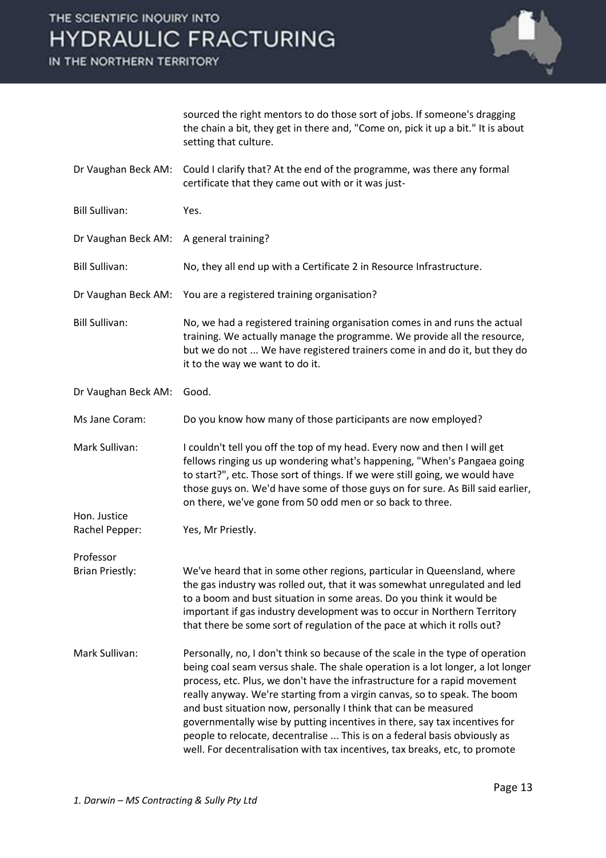IN THE NORTHERN TERRITORY



sourced the right mentors to do those sort of jobs. If someone's dragging the chain a bit, they get in there and, "Come on, pick it up a bit." It is about setting that culture.

- Dr Vaughan Beck AM: Could I clarify that? At the end of the programme, was there any formal certificate that they came out with or it was just-
- Bill Sullivan: Yes.
- Dr Vaughan Beck AM: A general training?
- Bill Sullivan: No, they all end up with a Certificate 2 in Resource Infrastructure.
- Dr Vaughan Beck AM: You are a registered training organisation?
- Bill Sullivan: No, we had a registered training organisation comes in and runs the actual training. We actually manage the programme. We provide all the resource, but we do not ... We have registered trainers come in and do it, but they do it to the way we want to do it.
- Dr Vaughan Beck AM: Good.

Ms Jane Coram: Do you know how many of those participants are now employed?

Mark Sullivan: I couldn't tell you off the top of my head. Every now and then I will get fellows ringing us up wondering what's happening, "When's Pangaea going to start?", etc. Those sort of things. If we were still going, we would have those guys on. We'd have some of those guys on for sure. As Bill said earlier, on there, we've gone from 50 odd men or so back to three.

Rachel Pepper: Yes, Mr Priestly.

Professor

Hon. Justice

Brian Priestly: We've heard that in some other regions, particular in Queensland, where the gas industry was rolled out, that it was somewhat unregulated and led to a boom and bust situation in some areas. Do you think it would be important if gas industry development was to occur in Northern Territory that there be some sort of regulation of the pace at which it rolls out?

Mark Sullivan: Personally, no, I don't think so because of the scale in the type of operation being coal seam versus shale. The shale operation is a lot longer, a lot longer process, etc. Plus, we don't have the infrastructure for a rapid movement really anyway. We're starting from a virgin canvas, so to speak. The boom and bust situation now, personally I think that can be measured governmentally wise by putting incentives in there, say tax incentives for people to relocate, decentralise ... This is on a federal basis obviously as well. For decentralisation with tax incentives, tax breaks, etc, to promote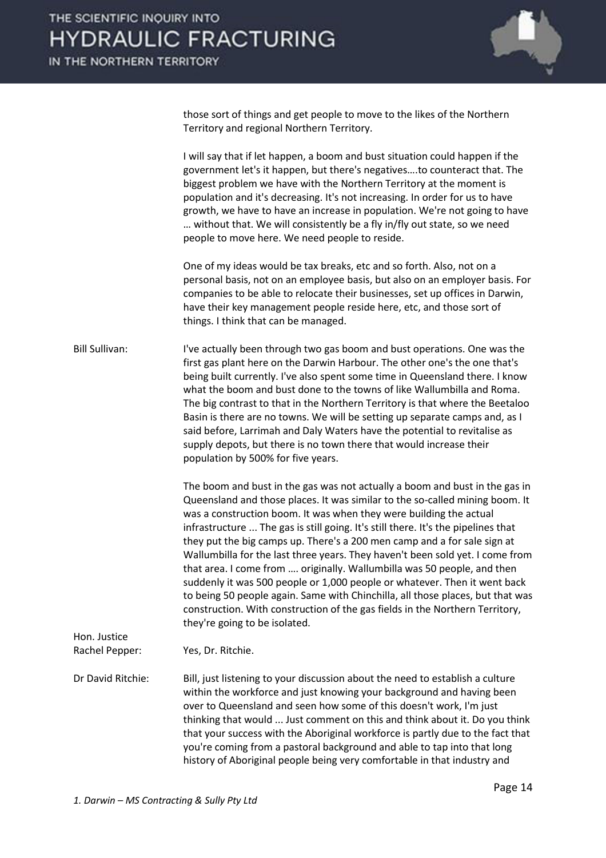

those sort of things and get people to move to the likes of the Northern Territory and regional Northern Territory.

 I will say that if let happen, a boom and bust situation could happen if the government let's it happen, but there's negatives....to counteract that. The biggest problem we have with the Northern Territory at the moment is population and it's decreasing. It's not increasing. In order for us to have growth, we have to have an increase in population. We're not going to have ... without that. We will consistently be a fly in/fly out state, so we need people to move here. We need people to reside.

 One of my ideas would be tax breaks, etc and so forth. Also, not on a personal basis, not on an employee basis, but also on an employer basis. For companies to be able to relocate their businesses, set up offices in Darwin, have their key management people reside here, etc, and those sort of things. I think that can be managed.

Bill Sullivan: I've actually been through two gas boom and bust operations. One was the first gas plant here on the Darwin Harbour. The other one's the one that's being built currently. I've also spent some time in Queensland there. I know what the boom and bust done to the towns of like Wallumbilla and Roma. The big contrast to that in the Northern Territory is that where the Beetaloo Basin is there are no towns. We will be setting up separate camps and, as I said before, Larrimah and Daly Waters have the potential to revitalise as supply depots, but there is no town there that would increase their population by 500% for five years.

> The boom and bust in the gas was not actually a boom and bust in the gas in Queensland and those places. It was similar to the so-called mining boom. It was a construction boom. It was when they were building the actual infrastructure ... The gas is still going. It's still there. It's the pipelines that they put the big camps up. There's a 200 men camp and a for sale sign at Wallumbilla for the last three years. They haven't been sold yet. I come from that area. I come from .... originally. Wallumbilla was 50 people, and then suddenly it was 500 people or 1,000 people or whatever. Then it went back to being 50 people again. Same with Chinchilla, all those places, but that was construction. With construction of the gas fields in the Northern Territory, they're going to be isolated.

Rachel Pepper: Yes, Dr. Ritchie.

Hon. Justice

Dr David Ritchie: Bill, just listening to your discussion about the need to establish a culture within the workforce and just knowing your background and having been over to Queensland and seen how some of this doesn't work, I'm just thinking that would ... Just comment on this and think about it. Do you think that your success with the Aboriginal workforce is partly due to the fact that you're coming from a pastoral background and able to tap into that long history of Aboriginal people being very comfortable in that industry and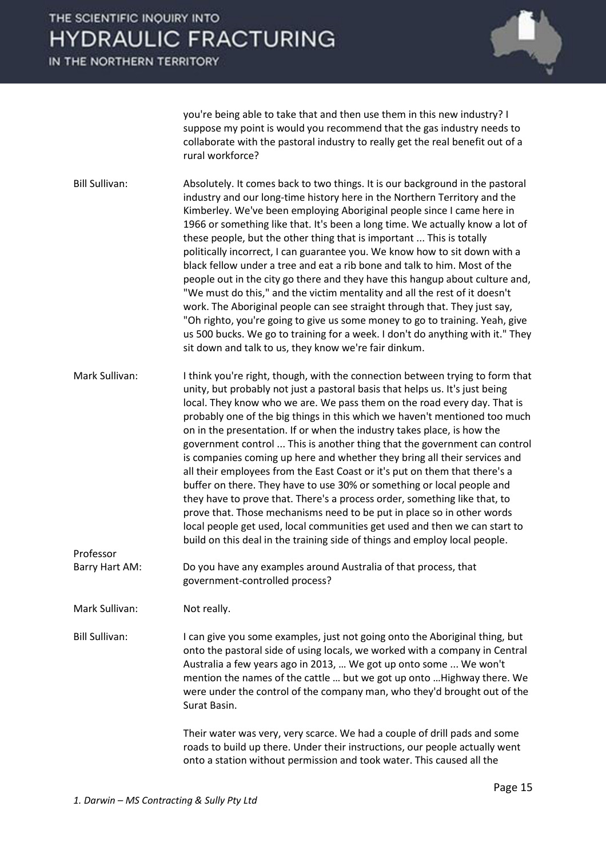IN THE NORTHERN TERRITORY



you're being able to take that and then use them in this new industry? I suppose my point is would you recommend that the gas industry needs to collaborate with the pastoral industry to really get the real benefit out of a rural workforce?

Bill Sullivan: Absolutely. It comes back to two things. It is our background in the pastoral industry and our long-time history here in the Northern Territory and the Kimberley. We've been employing Aboriginal people since I came here in 1966 or something like that. It's been a long time. We actually know a lot of these people, but the other thing that is important ... This is totally politically incorrect, I can guarantee you. We know how to sit down with a black fellow under a tree and eat a rib bone and talk to him. Most of the people out in the city go there and they have this hangup about culture and, "We must do this," and the victim mentality and all the rest of it doesn't work. The Aboriginal people can see straight through that. They just say, "Oh righto, you're going to give us some money to go to training. Yeah, give us 500 bucks. We go to training for a week. I don't do anything with it." They sit down and talk to us, they know we're fair dinkum.

Mark Sullivan: I think you're right, though, with the connection between trying to form that unity, but probably not just a pastoral basis that helps us. It's just being local. They know who we are. We pass them on the road every day. That is probably one of the big things in this which we haven't mentioned too much on in the presentation. If or when the industry takes place, is how the government control ... This is another thing that the government can control is companies coming up here and whether they bring all their services and all their employees from the East Coast or it's put on them that there's a buffer on there. They have to use 30% or something or local people and they have to prove that. There's a process order, something like that, to prove that. Those mechanisms need to be put in place so in other words local people get used, local communities get used and then we can start to build on this deal in the training side of things and employ local people.

Barry Hart AM: Do you have any examples around Australia of that process, that government-controlled process?

Mark Sullivan: Not really.

Professor

Bill Sullivan: I can give you some examples, just not going onto the Aboriginal thing, but onto the pastoral side of using locals, we worked with a company in Central Australia a few years ago in 2013, ... We got up onto some ... We won't mention the names of the cattle ... but we got up onto ... Highway there. We were under the control of the company man, who they'd brought out of the Surat Basin.

> Their water was very, very scarce. We had a couple of drill pads and some roads to build up there. Under their instructions, our people actually went onto a station without permission and took water. This caused all the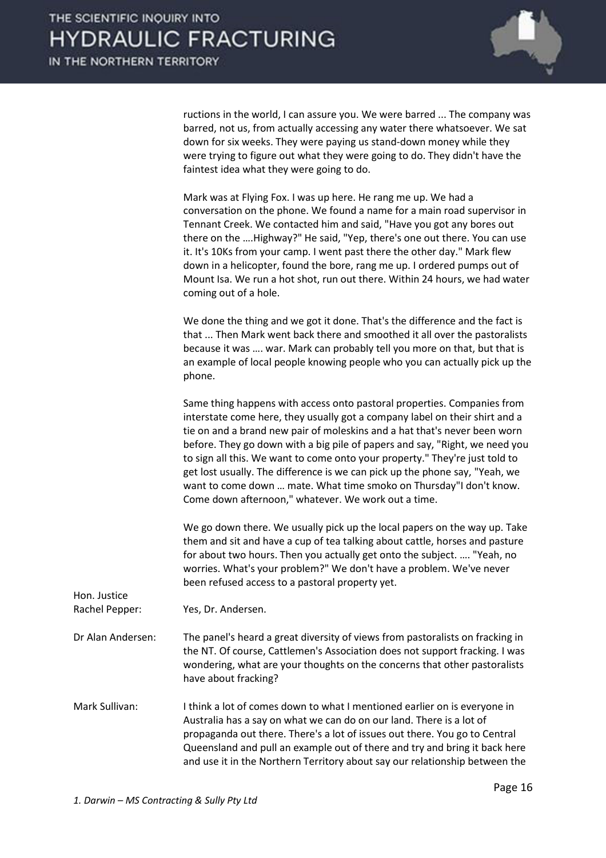

ructions in the world, I can assure you. We were barred ... The company was barred, not us, from actually accessing any water there whatsoever. We sat down for six weeks. They were paying us stand-down money while they were trying to figure out what they were going to do. They didn't have the faintest idea what they were going to do.

| Mark was at Flying Fox. I was up here. He rang me up. We had a             |
|----------------------------------------------------------------------------|
| conversation on the phone. We found a name for a main road supervisor in   |
| Tennant Creek. We contacted him and said, "Have you got any bores out      |
| there on the  Highway?" He said, "Yep, there's one out there. You can use  |
| it. It's 10Ks from your camp. I went past there the other day." Mark flew  |
| down in a helicopter, found the bore, rang me up. I ordered pumps out of   |
| Mount Isa. We run a hot shot, run out there. Within 24 hours, we had water |
| coming out of a hole.                                                      |

 We done the thing and we got it done. That's the difference and the fact is that ... Then Mark went back there and smoothed it all over the pastoralists because it was .... war. Mark can probably tell you more on that, but that is an example of local people knowing people who you can actually pick up the phone.

 Same thing happens with access onto pastoral properties. Companies from interstate come here, they usually got a company label on their shirt and a tie on and a brand new pair of moleskins and a hat that's never been worn before. They go down with a big pile of papers and say, "Right, we need you to sign all this. We want to come onto your property." They're just told to get lost usually. The difference is we can pick up the phone say, "Yeah, we want to come down ... mate. What time smoko on Thursday"I don't know. Come down afternoon," whatever. We work out a time.

 We go down there. We usually pick up the local papers on the way up. Take them and sit and have a cup of tea talking about cattle, horses and pasture for about two hours. Then you actually get onto the subject. .... "Yeah, no worries. What's your problem?" We don't have a problem. We've never been refused access to a pastoral property yet.

| Hon. Justice<br>Rachel Pepper: | Yes, Dr. Andersen.                                                                                                                                                                                                                                                                                                                                                                           |
|--------------------------------|----------------------------------------------------------------------------------------------------------------------------------------------------------------------------------------------------------------------------------------------------------------------------------------------------------------------------------------------------------------------------------------------|
| Dr Alan Andersen:              | The panel's heard a great diversity of views from pastoralists on fracking in<br>the NT. Of course, Cattlemen's Association does not support fracking. I was<br>wondering, what are your thoughts on the concerns that other pastoralists<br>have about fracking?                                                                                                                            |
| Mark Sullivan:                 | I think a lot of comes down to what I mentioned earlier on is everyone in<br>Australia has a say on what we can do on our land. There is a lot of<br>propaganda out there. There's a lot of issues out there. You go to Central<br>Queensland and pull an example out of there and try and bring it back here<br>and use it in the Northern Territory about say our relationship between the |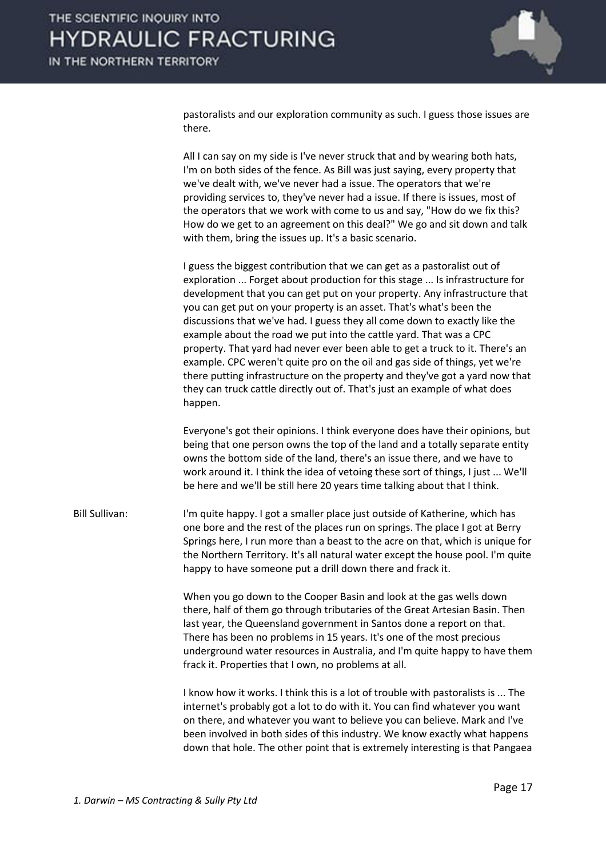

pastoralists and our exploration community as such. I guess those issues are there.

 All I can say on my side is I've never struck that and by wearing both hats, I'm on both sides of the fence. As Bill was just saying, every property that we've dealt with, we've never had a issue. The operators that we're providing services to, they've never had a issue. If there is issues, most of the operators that we work with come to us and say, "How do we fix this? How do we get to an agreement on this deal?" We go and sit down and talk with them, bring the issues up. It's a basic scenario.

 I guess the biggest contribution that we can get as a pastoralist out of exploration ... Forget about production for this stage ... Is infrastructure for development that you can get put on your property. Any infrastructure that you can get put on your property is an asset. That's what's been the discussions that we've had. I guess they all come down to exactly like the example about the road we put into the cattle yard. That was a CPC property. That yard had never ever been able to get a truck to it. There's an example. CPC weren't quite pro on the oil and gas side of things, yet we're there putting infrastructure on the property and they've got a yard now that they can truck cattle directly out of. That's just an example of what does happen.

 Everyone's got their opinions. I think everyone does have their opinions, but being that one person owns the top of the land and a totally separate entity owns the bottom side of the land, there's an issue there, and we have to work around it. I think the idea of vetoing these sort of things, I just ... We'll be here and we'll be still here 20 years time talking about that I think.

Bill Sullivan: I'm quite happy. I got a smaller place just outside of Katherine, which has one bore and the rest of the places run on springs. The place I got at Berry Springs here, I run more than a beast to the acre on that, which is unique for the Northern Territory. It's all natural water except the house pool. I'm quite happy to have someone put a drill down there and frack it.

> When you go down to the Cooper Basin and look at the gas wells down there, half of them go through tributaries of the Great Artesian Basin. Then last year, the Queensland government in Santos done a report on that. There has been no problems in 15 years. It's one of the most precious underground water resources in Australia, and I'm quite happy to have them frack it. Properties that I own, no problems at all.

> I know how it works. I think this is a lot of trouble with pastoralists is ... The internet's probably got a lot to do with it. You can find whatever you want on there, and whatever you want to believe you can believe. Mark and I've been involved in both sides of this industry. We know exactly what happens down that hole. The other point that is extremely interesting is that Pangaea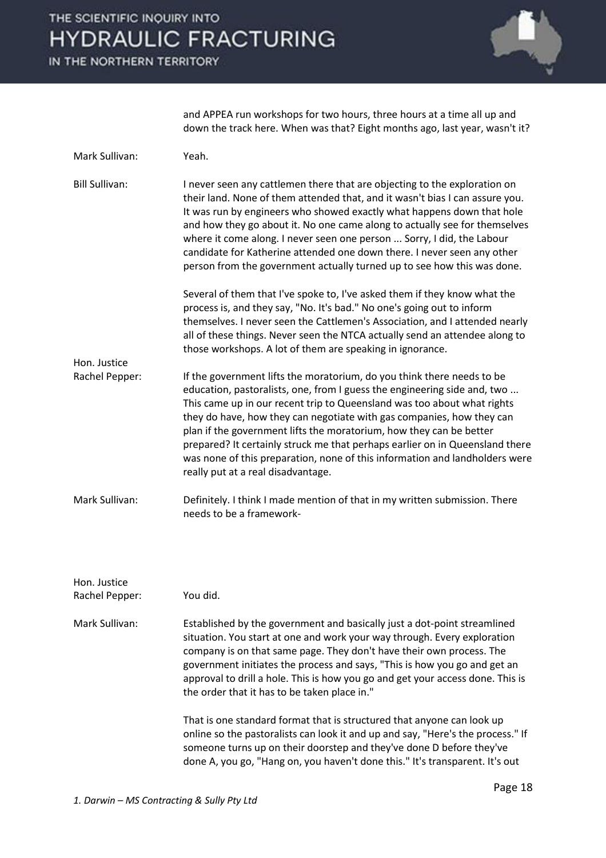IN THE NORTHERN TERRITORY



and APPEA run workshops for two hours, three hours at a time all up and down the track here. When was that? Eight months ago, last year, wasn't it?

| Mark Sullivan:                 | Yeah.                                                                                                                                                                                                                                                                                                                                                                                                                                                                                                                                                                              |
|--------------------------------|------------------------------------------------------------------------------------------------------------------------------------------------------------------------------------------------------------------------------------------------------------------------------------------------------------------------------------------------------------------------------------------------------------------------------------------------------------------------------------------------------------------------------------------------------------------------------------|
| <b>Bill Sullivan:</b>          | I never seen any cattlemen there that are objecting to the exploration on<br>their land. None of them attended that, and it wasn't bias I can assure you.<br>It was run by engineers who showed exactly what happens down that hole<br>and how they go about it. No one came along to actually see for themselves<br>where it come along. I never seen one person  Sorry, I did, the Labour<br>candidate for Katherine attended one down there. I never seen any other<br>person from the government actually turned up to see how this was done.                                  |
|                                | Several of them that I've spoke to, I've asked them if they know what the<br>process is, and they say, "No. It's bad." No one's going out to inform<br>themselves. I never seen the Cattlemen's Association, and I attended nearly<br>all of these things. Never seen the NTCA actually send an attendee along to<br>those workshops. A lot of them are speaking in ignorance.                                                                                                                                                                                                     |
| Hon. Justice<br>Rachel Pepper: | If the government lifts the moratorium, do you think there needs to be<br>education, pastoralists, one, from I guess the engineering side and, two<br>This came up in our recent trip to Queensland was too about what rights<br>they do have, how they can negotiate with gas companies, how they can<br>plan if the government lifts the moratorium, how they can be better<br>prepared? It certainly struck me that perhaps earlier on in Queensland there<br>was none of this preparation, none of this information and landholders were<br>really put at a real disadvantage. |
| Mark Sullivan:                 | Definitely. I think I made mention of that in my written submission. There<br>needs to be a framework-                                                                                                                                                                                                                                                                                                                                                                                                                                                                             |
| Hon. Justice                   |                                                                                                                                                                                                                                                                                                                                                                                                                                                                                                                                                                                    |
| Rachel Pepper:                 | You did.                                                                                                                                                                                                                                                                                                                                                                                                                                                                                                                                                                           |
| Mark Sullivan:                 | Established by the government and basically just a dot-point streamlined<br>situation. You start at one and work your way through. Every exploration<br>company is on that same page. They don't have their own process. The<br>government initiates the process and says, "This is how you go and get an<br>approval to drill a hole. This is how you go and get your access done. This is<br>the order that it has to be taken place in."                                                                                                                                        |
|                                | That is one standard format that is structured that anyone can look up<br>online so the pastoralists can look it and up and say, "Here's the process." If<br>someone turns up on their doorstep and they've done D before they've<br>done A, you go, "Hang on, you haven't done this." It's transparent. It's out                                                                                                                                                                                                                                                                  |